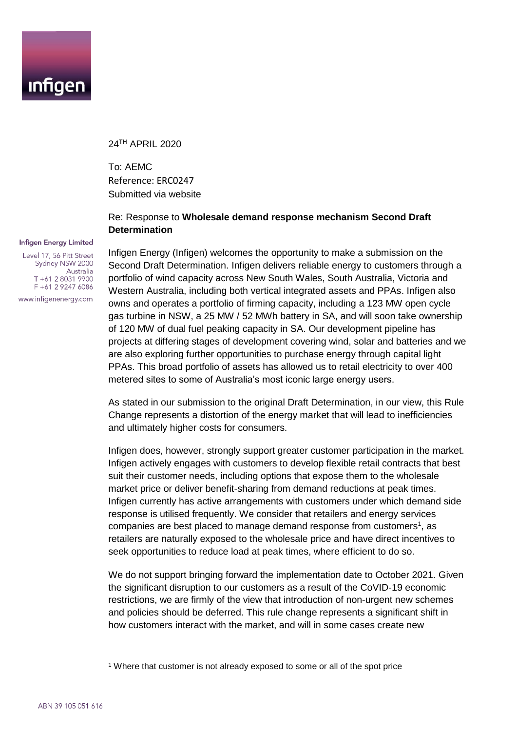

24 TH APRIL 2020

To: AEMC Reference: ERC0247 Submitted via website

## Re: Response to **Wholesale demand response mechanism Second Draft Determination**

## **Infigen Energy Limited**

Level 17, 56 Pitt Street Sydney NSW 2000 Australia T +61 2 8031 9900 F +61 2 9247 6086 www.infigenenergy.com

Infigen Energy (Infigen) welcomes the opportunity to make a submission on the Second Draft Determination. Infigen delivers reliable energy to customers through a portfolio of wind capacity across New South Wales, South Australia, Victoria and Western Australia, including both vertical integrated assets and PPAs. Infigen also owns and operates a portfolio of firming capacity, including a 123 MW open cycle gas turbine in NSW, a 25 MW / 52 MWh battery in SA, and will soon take ownership of 120 MW of dual fuel peaking capacity in SA. Our development pipeline has projects at differing stages of development covering wind, solar and batteries and we are also exploring further opportunities to purchase energy through capital light PPAs. This broad portfolio of assets has allowed us to retail electricity to over 400 metered sites to some of Australia's most iconic large energy users.

As stated in our submission to the original Draft Determination, in our view, this Rule Change represents a distortion of the energy market that will lead to inefficiencies and ultimately higher costs for consumers.

Infigen does, however, strongly support greater customer participation in the market. Infigen actively engages with customers to develop flexible retail contracts that best suit their customer needs, including options that expose them to the wholesale market price or deliver benefit-sharing from demand reductions at peak times. Infigen currently has active arrangements with customers under which demand side response is utilised frequently. We consider that retailers and energy services companies are best placed to manage demand response from customers<sup>1</sup>, as retailers are naturally exposed to the wholesale price and have direct incentives to seek opportunities to reduce load at peak times, where efficient to do so.

We do not support bringing forward the implementation date to October 2021. Given the significant disruption to our customers as a result of the CoVID-19 economic restrictions, we are firmly of the view that introduction of non-urgent new schemes and policies should be deferred. This rule change represents a significant shift in how customers interact with the market, and will in some cases create new

1

<sup>&</sup>lt;sup>1</sup> Where that customer is not already exposed to some or all of the spot price